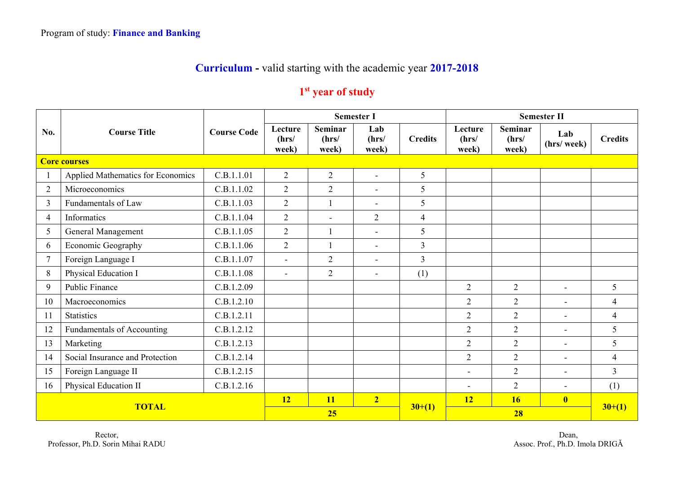## **Curriculum -** valid starting with the academic year **2017-2018**

## **1st year of study**

|                | <b>Course Title</b>               |                    |                           |                                  | <b>Semester I</b>        |                | <b>Semester II</b>        |                                  |                          |                |
|----------------|-----------------------------------|--------------------|---------------------------|----------------------------------|--------------------------|----------------|---------------------------|----------------------------------|--------------------------|----------------|
| No.            |                                   | <b>Course Code</b> | Lecture<br>(hrs/<br>week) | <b>Seminar</b><br>(hrs/<br>week) | Lab<br>(hrs/<br>week)    | <b>Credits</b> | Lecture<br>(hrs/<br>week) | <b>Seminar</b><br>(hrs/<br>week) | Lab<br>(hrs/week)        | <b>Credits</b> |
|                | <b>Core courses</b>               |                    |                           |                                  |                          |                |                           |                                  |                          |                |
|                | Applied Mathematics for Economics | C.B.1.1.01         | $\overline{2}$            | $\overline{2}$                   | $\sim$                   | 5              |                           |                                  |                          |                |
| $\overline{2}$ | Microeconomics                    | C.B.1.1.02         | $\overline{2}$            | 2                                | $\overline{\phantom{a}}$ | 5              |                           |                                  |                          |                |
| 3              | Fundamentals of Law               | C.B.1.1.03         | $\overline{2}$            | $\overline{1}$                   | $\sim$                   | 5              |                           |                                  |                          |                |
| $\overline{4}$ | Informatics                       | C.B.1.1.04         | $\overline{2}$            | $\blacksquare$                   | $\overline{2}$           | $\overline{4}$ |                           |                                  |                          |                |
| 5              | General Management                | C.B.1.1.05         | $\overline{2}$            |                                  | $\overline{\phantom{a}}$ | 5              |                           |                                  |                          |                |
| 6              | Economic Geography                | C.B.1.1.06         | $\overline{2}$            | $\mathbf{1}$                     | $\blacksquare$           | $\overline{3}$ |                           |                                  |                          |                |
| $\tau$         | Foreign Language I                | C.B.1.1.07         | $\overline{a}$            | $\overline{2}$                   | $\sim$                   | $\overline{3}$ |                           |                                  |                          |                |
| 8              | Physical Education I              | C.B.1.1.08         | $\blacksquare$            | $\overline{2}$                   | $\sim$                   | (1)            |                           |                                  |                          |                |
| 9              | Public Finance                    | C.B.1.2.09         |                           |                                  |                          |                | $\overline{2}$            | $\overline{2}$                   | $\sim$                   | 5              |
| 10             | Macroeconomics                    | C.B.1.2.10         |                           |                                  |                          |                | $\overline{2}$            | $\overline{2}$                   | $\overline{\phantom{0}}$ | $\overline{4}$ |
| 11             | <b>Statistics</b>                 | C.B.1.2.11         |                           |                                  |                          |                | $\overline{2}$            | $\overline{2}$                   | $\blacksquare$           | $\overline{4}$ |
| 12             | Fundamentals of Accounting        | C.B.1.2.12         |                           |                                  |                          |                | $\overline{2}$            | $\overline{2}$                   | $\blacksquare$           | 5              |
| 13             | Marketing                         | C.B.1.2.13         |                           |                                  |                          |                | $\overline{2}$            | $\overline{2}$                   | $\blacksquare$           | 5              |
| 14             | Social Insurance and Protection   | C.B.1.2.14         |                           |                                  |                          |                | $\overline{2}$            | $\overline{2}$                   | $\blacksquare$           | $\overline{4}$ |
| 15             | Foreign Language II               | C.B.1.2.15         |                           |                                  |                          |                | $\qquad \qquad -$         | $\overline{2}$                   | $\overline{\phantom{0}}$ | $\overline{3}$ |
| 16             | Physical Education II             | C.B.1.2.16         |                           |                                  |                          |                | $\blacksquare$            | $\overline{2}$                   | $\blacksquare$           | (1)            |
| <b>TOTAL</b>   |                                   |                    | <b>12</b>                 | <b>11</b>                        | $\overline{2}$           |                | 12                        | <b>16</b>                        | $\overline{\mathbf{0}}$  |                |
|                |                                   |                    | 25                        |                                  |                          | $30+(1)$       |                           | $30+(1)$                         |                          |                |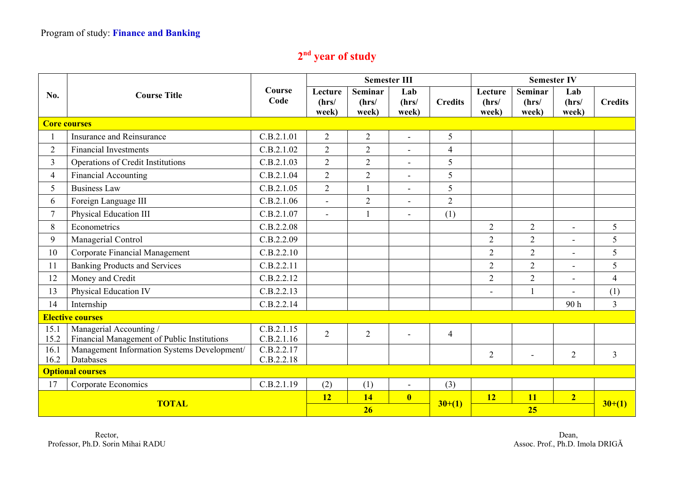## **2nd year of study**

|                                         |                                                                        | Course<br>Code           |                           | <b>Semester III</b>              |                         |                | <b>Semester IV</b>        |                                  |                          |                |
|-----------------------------------------|------------------------------------------------------------------------|--------------------------|---------------------------|----------------------------------|-------------------------|----------------|---------------------------|----------------------------------|--------------------------|----------------|
| No.                                     | <b>Course Title</b>                                                    |                          | Lecture<br>(hrs/<br>week) | <b>Seminar</b><br>(hrs/<br>week) | Lab<br>(hrs/<br>week)   | <b>Credits</b> | Lecture<br>(hrs/<br>week) | <b>Seminar</b><br>(hrs/<br>week) | Lab<br>(hrs/<br>week)    | <b>Credits</b> |
|                                         | <b>Core courses</b>                                                    |                          |                           |                                  |                         |                |                           |                                  |                          |                |
|                                         | <b>Insurance and Reinsurance</b>                                       | C.B.2.1.01               | $\overline{2}$            | $\mathfrak{2}$                   | $\blacksquare$          | 5              |                           |                                  |                          |                |
| $\overline{2}$                          | <b>Financial Investments</b>                                           | C.B.2.1.02               | $\overline{2}$            | $\overline{2}$                   | $\overline{a}$          | $\overline{4}$ |                           |                                  |                          |                |
| $\overline{3}$                          | Operations of Credit Institutions                                      | C.B.2.1.03               | $\overline{2}$            | $\overline{2}$                   | $\blacksquare$          | 5              |                           |                                  |                          |                |
| $\overline{4}$                          | Financial Accounting                                                   | C.B.2.1.04               | $\overline{2}$            | $\overline{2}$                   | $\blacksquare$          | 5              |                           |                                  |                          |                |
| 5                                       | <b>Business Law</b>                                                    | C.B.2.1.05               | $\overline{2}$            |                                  | $\overline{a}$          | 5              |                           |                                  |                          |                |
| 6                                       | Foreign Language III                                                   | C.B.2.1.06               | $\mathbf{r}$              | $\overline{2}$                   | $\blacksquare$          | $\overline{2}$ |                           |                                  |                          |                |
| $\overline{7}$                          | Physical Education III                                                 | C.B.2.1.07               | $\sim$                    |                                  | $\blacksquare$          | (1)            |                           |                                  |                          |                |
| 8                                       | Econometrics                                                           | C.B.2.2.08               |                           |                                  |                         |                | $\overline{2}$            | 2                                | $\overline{\phantom{0}}$ | 5              |
| 9                                       | Managerial Control                                                     | C.B.2.2.09               |                           |                                  |                         |                | $\overline{2}$            | $\overline{2}$                   | $\blacksquare$           | 5              |
| 10                                      | Corporate Financial Management                                         | C.B.2.2.10               |                           |                                  |                         |                | $\overline{2}$            | $\overline{2}$                   | $\overline{a}$           | 5              |
| 11                                      | <b>Banking Products and Services</b>                                   | C.B.2.2.11               |                           |                                  |                         |                | $\overline{2}$            | 2                                | $\blacksquare$           | 5              |
| 12                                      | Money and Credit                                                       | C.B.2.2.12               |                           |                                  |                         |                | $\overline{2}$            | $\overline{2}$                   | $\overline{a}$           | $\overline{4}$ |
| 13                                      | Physical Education IV                                                  | C.B.2.2.13               |                           |                                  |                         |                | $\overline{\phantom{a}}$  | $\mathbf{1}$                     |                          | (1)            |
| 14                                      | Internship                                                             | C.B.2.2.14               |                           |                                  |                         |                |                           |                                  | 90 <sub>h</sub>          | $\overline{3}$ |
| <b>Elective courses</b>                 |                                                                        |                          |                           |                                  |                         |                |                           |                                  |                          |                |
| 15.1<br>15.2                            | Managerial Accounting /<br>Financial Management of Public Institutions | C.B.2.1.15<br>C.B.2.1.16 | $\overline{2}$            | 2                                |                         | $\overline{4}$ |                           |                                  |                          |                |
| 16.1                                    | Management Information Systems Development/                            | C.B.2.2.17               |                           |                                  |                         |                | $\mathbf{2}$              |                                  | $\overline{2}$           | $\overline{3}$ |
| 16.2                                    | Databases                                                              | C.B.2.2.18               |                           |                                  |                         |                |                           |                                  |                          |                |
| <b>Optional courses</b>                 |                                                                        |                          |                           |                                  |                         |                |                           |                                  |                          |                |
| 17<br>C.B.2.1.19<br>Corporate Economics |                                                                        | (2)                      | (1)                       | $\overline{\phantom{a}}$         | (3)                     |                |                           |                                  |                          |                |
| <b>TOTAL</b>                            |                                                                        |                          | <b>12</b>                 | 14                               | $\overline{\mathbf{0}}$ | $30+(1)$       | 12                        | <b>11</b>                        | $\overline{2}$           | $30+(1)$       |
|                                         |                                                                        |                          | 26                        |                                  |                         |                | 25                        |                                  |                          |                |